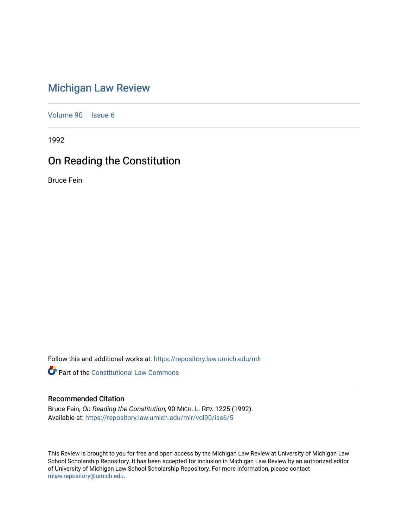# [Michigan Law Review](https://repository.law.umich.edu/mlr)

[Volume 90](https://repository.law.umich.edu/mlr/vol90) | [Issue 6](https://repository.law.umich.edu/mlr/vol90/iss6)

1992

# On Reading the Constitution

Bruce Fein

Follow this and additional works at: [https://repository.law.umich.edu/mlr](https://repository.law.umich.edu/mlr?utm_source=repository.law.umich.edu%2Fmlr%2Fvol90%2Fiss6%2F5&utm_medium=PDF&utm_campaign=PDFCoverPages) 

**Part of the Constitutional Law Commons** 

### Recommended Citation

Bruce Fein, On Reading the Constitution, 90 MICH. L. REV. 1225 (1992). Available at: [https://repository.law.umich.edu/mlr/vol90/iss6/5](https://repository.law.umich.edu/mlr/vol90/iss6/5?utm_source=repository.law.umich.edu%2Fmlr%2Fvol90%2Fiss6%2F5&utm_medium=PDF&utm_campaign=PDFCoverPages)

This Review is brought to you for free and open access by the Michigan Law Review at University of Michigan Law School Scholarship Repository. It has been accepted for inclusion in Michigan Law Review by an authorized editor of University of Michigan Law School Scholarship Repository. For more information, please contact [mlaw.repository@umich.edu.](mailto:mlaw.repository@umich.edu)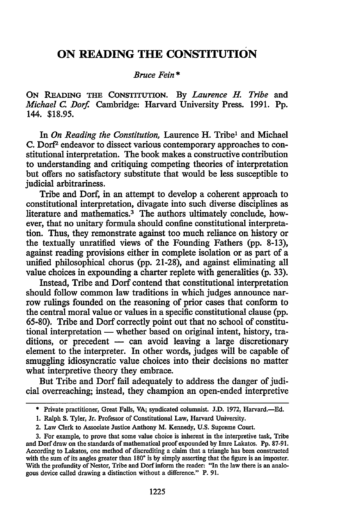## **ON READING THE CONSTITUTION**

### *Bruce Fein\**

ON READING THE CONSTITUTION. By *Laurence* H. *Tribe* and *Michael C. Dorf.* Cambridge: Harvard University Press. 1991. Pp. 144. \$18.95.

In *On Reading the Constitution*, Laurence H. Tribe<sup>1</sup> and Michael C. Dorf2 endeavor to dissect various contemporary approaches to constitutional interpretation. The book makes a constructive contribution to understanding and critiquing competing theories of interpretation but offers no satisfactory substitute that would be less susceptible to judicial arbitrariness.

Tribe and Dorf, in an attempt to develop a coherent approach to constitutional interpretation, divagate into such diverse disciplines as literature and mathematics.<sup>3</sup> The authors ultimately conclude, however, that no unitary formula should confine constitutional interpretation. Thus, they remonstrate against too much reliance on history or the textually unratified views of the Founding Fathers (pp. 8-13), against reading provisions either in complete isolation or as part of a unified philosophical chorus (pp. 21-28), and against eliminating all value choices in expounding a charter replete with generalities (p. 33).

Instead, Tribe and Dorf contend that constitutional interpretation should follow common law traditions in which judges announce narrow rulings founded on the reasoning of prior cases that conform to the central moral value or values in a specific constitutional clause (pp. 65-80). Tribe and Dorf correctly point out that no school of constitutional interpretation — whether based on original intent, history, traditions, or precedent  $-$  can avoid leaving a large discretionary element to the interpreter. In other words, judges will be capable of smuggling idiosyncratic value choices into their decisions no matter what interpretive theory they embrace.

But Tribe and Dorf fail adequately to address the danger of judicial overreaching; instead, they champion an open-ended interpretive

<sup>•</sup> Private practitioner, Great Falls, VA; syndicated columnist. J.D. 1972, Harvard.-Ecl.

<sup>1.</sup> Ralph S. Tyler, Jr. Professor of Constitutional Law, Harvard University.

<sup>2.</sup> Law Clerk to Associate Justice Anthony M. Kennedy, U.S. Supreme Court.

<sup>3.</sup> For example, to prove that some value choice is inherent in the interpretive task, Tribe and Dorf draw on the standards of mathematical proof expounded by Imre Lakatos. Pp. 87-91. According to Lakatos, one method of discrediting a claim that a triangle has been constructed with the sum of its angles greater than 180° is by simply asserting that the figure is an imposter. With the profundity of Nestor, Tribe and Dorf inform the reader: "In the law there is an analogous device called drawing a distinction without a difference." P. 91.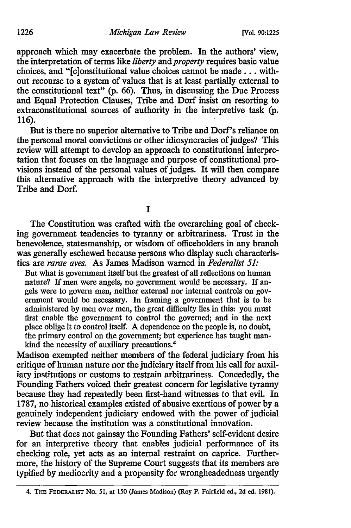approach which may exacerbate the problem. In the authors' view, the interpretation of terms like *liberty* and *property* requires basic value choices, and "[c]onstitutional value choices cannot be made ... without recourse to a system of values that is at least partially external to the constitutional text" (p. 66). Thus, in discussing the Due Process and Equal Protection Clauses, Tribe and Dorf insist on resorting to extraconstitutional sources of authority in the interpretive task (p. 116).

But is there no superior alternative to Tribe and Dorf's reliance on the personal moral convictions or other idiosyncracies of judges? This review will attempt to develop an approach to constitutional interpretation that focuses on the language and purpose of constitutional provisions instead of the personal values of judges. It will then compare this alternative approach with the interpretive theory advanced by Tribe and Dorf.

I

The Constitution was crafted with the overarching goal of checking government tendencies to tyranny or arbitrariness. Trust in the benevolence, statesmanship, or wisdom of officeholders in any branch was generally eschewed because persons who display such characteristics are *rarae aves.* As James Madison warned in *Federalist 51:* 

But what is government itself but the greatest of all reflections on human nature? If men were angels, no government would be necessary. If angels were to govern men, neither external nor internal controls on government would be necessary. In framing a government that is to be administered by men over men, the great difficulty lies in this: you must first enable the government to control the governed; and in the next place oblige it to control itself. A dependence on the people is, no doubt, the primary control on the government; but experience has taught mankind the necessity of auxiliary precautions. 4

Madison exempted neither members of the federal judiciary from his critique of human nature nor the judiciary itself from his call for auxiliary institutions or customs to restrain arbitrariness. Concededly, the Founding Fathers voiced their greatest concern for legislative tyranny because they had repeatedly been first-hand witnesses to that evil. In 1787, no historical examples existed of abusive exertions of power by a genuinely independent judiciary endowed with the power of judicial review because the institution was a constitutional innovation.

But that does not gainsay the Founding Fathers' self-evident desire for an interpretive theory that enables judicial performance of its checking role, yet acts as an internal restraint on caprice. Furthermore, the history of the Supreme Court suggests that its members are typified by mediocrity and a propensity for wrongheadedness urgently

<sup>4.</sup> THE FEDERALIST No. 51, at 150 (James Madison) (Roy P. Fairfield ed., 2d ed. 1981).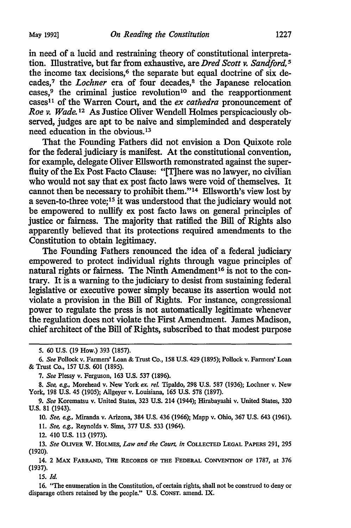in need of a lucid and restraining theory of constitutional interpretation. Illustrative, but far from exhaustive, are *Dred Scott v. Sandford,* <sup>5</sup> the income tax decisions,<sup>6</sup> the separate but equal doctrine of six decades,<sup>7</sup> the *Lochner* era of four decades,<sup>8</sup> the Japanese relocation cases,<sup>9</sup> the criminal justice revolution<sup>10</sup> and the reapportionment cases11 of the Warren Court, and the *ex cathedra* pronouncement of *Roe v. Wade.* <sup>12</sup> As Justice Oliver Wendell Holmes perspicaciously observed, judges are apt to be naive and simpleminded and desperately need education in the obvious.13

That the Founding Fathers did not envision a Don Quixote role for the federal judiciary is manifest. At the constitutional convention, for example, delegate Oliver Ellsworth remonstrated against the superfluity of the Ex Post Facto Clause: "[T]here was no lawyer, no civilian who would not say that ex post facto laws were void of themselves. It cannot then be necessary to prohibit them."<sup>14</sup> Ellsworth's view lost by a seven-to-three vote; 15 it was understood that the judiciary would not be empowered to nullify ex post facto laws on general principles of justice or fairness. The majority that ratified the Bill of Rights also apparently believed that its protections required amendments to the Constitution to obtain legitimacy.

The Founding Fathers renounced the idea of a federal judiciary empowered to protect individual rights through vague principles of natural rights or fairness. The Ninth Amendment<sup>16</sup> is not to the contrary. It is a warning to the judiciary to desist from sustaining federal legislative or executive power simply because its assertion would not violate a provision in the Bill of Rights. For instance, congressional power to regulate the press is not automatically legitimate whenever the regulation does not violate the First Amendment. James Madison, chief architect of the Bill of Rights, subscribed to that modest purpose

6. *See* Pollock v. Farmers' Loan & Trust Co., 158 U.S. 429 (1895); Pollock v. Farmers' Loan & Trust Co., 157 U.S. 601 (1895).

7. *See* Plessy v. Ferguson, 163 U.S. 537 (1896).

8. *See, e.g.,* Morehead v. New York *ex. rel* Tipaldo, 298 U.S. 587 (1936); Lochner v. New York, 198 U.S. 45 (1905); Allgeyer v. Louisiana, 165 U.S. 578 (1897).

9. *See* Korematsu v. United States, 323 U.S. 214 (1944); Hirabayashi v. United States, 320 U.S. 81 (1943).

10. *See, e.g.,* Miranda v. Arizona, 384 U.S. 436 (1966); Mapp v. Ohio, 367 U.S. 643 (1961).

11. *See, e.g.,* Reynolds v. Sims, 377 U.S. 533 (1964).

12. 410 U.S. 113 (1973).

13. *See* OLIVER W. HOLMES, *Law and the Court, in* CoLLECTED LEGAL PAPERS 291, 295 (1920).

14. 2 MAx FARRAND, THE RECORDS OF THE FEDERAL CONVENTION OF 1787, at 376 (1937).

15. *Id.* 

16. "The enumeration in the Constitution, of certain rights, shall not be construed to deny or disparage others retained by the people." U.S. CONST. amend. IX.

<sup>5. 60</sup> U.S. (19 How.) 393 (1857).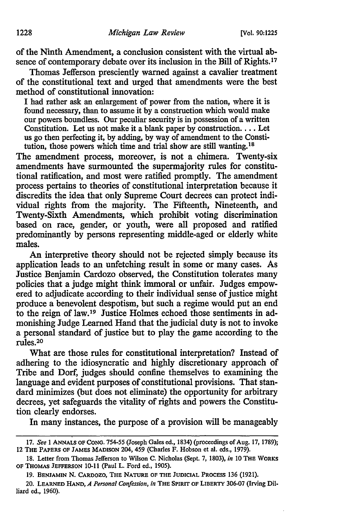of the Ninth Amendment, a conclusion consistent with the virtual absence of contemporary debate over its inclusion in the Bill of Rights. <sup>17</sup>

Thomas Jefferson presciently warned against a cavalier treatment of the constitutional text and urged that amendments were the best method of constitutional innovation:

I had rather ask an enlargement of power from the nation, where it is found necessary, than to assume it by a construction which would make our powers boundless. Our peculiar security is in possession of a written Constitution. Let us not make it a blank paper by construction .... Let us go then perfecting it, by adding, by way of amendment to the Constitution, those powers which time and trial show are still wanting. <sup>18</sup>

The amendment process, moreover, is not a chimera. Twenty-six amendments have surmounted the supermajority rules for constitutional ratification, and most were ratified promptly. The amendment process pertains to theories of constitutional interpretation because it discredits the idea that only Supreme Court decrees can protect individual rights from the majority. The Fifteenth, Nineteenth, and Twenty-Sixth Amendments, which prohibit voting discrimination based on race, gender, or youth, were all proposed and ratified predominantly by persons representing middle-aged or elderly white males.

An interpretive theory should not be rejected simply because its application leads to an unfetching result in some or many cases. As Justice Benjamin Cardozo observed, the Constitution tolerates many policies that a judge might think immoral or unfair. Judges empowered to adjudicate according to their individual sense of justice might produce a benevolent despotism, but such a regime would put an end to the reign of law. 19 Justice Holmes echoed those sentiments in admonishing Judge Learned Hand that the judicial duty is not to invoke a personal standard of justice but to play the game according to the rules.20

What are those rules for constitutional interpretation? Instead of adhering to the idiosyncratic and highly discretionary approach of Tribe and Dorf, judges should confine themselves to examining the language and evident purposes of constitutional provisions. That standard minimizes (but does not eliminate) the opportunity for arbitrary decrees, yet safeguards the vitality of rights and powers the Constitution clearly endorses.

In many instances, the purpose of a provision will be manageably

<sup>17.</sup> *See* 1 ANNALS OF CoNG. 754-55 (Joseph Gales ed., 1834) (proceedings of Aug. 17, 1789); 12 THE PAPERS OF JAMES MADISON 204, 459 (Charles F. Hobson et al. eds., 1979).

<sup>18.</sup> Letter from Thomas Jefferson to Wilson C. Nicholas (Sept. 7, 1803), *in* 10 THE WORKS OF THOMAS JEFFERSON 10-11 (Paul L. Ford ed., 1905).

<sup>19.</sup> BENJAMIN N. CARDOZO, THE NATURE OF THE JUDICIAL PROCESS 136 (1921).

<sup>20.</sup> LEARNED HAND, *A Personal Confession, in* THE SPIRIT OF LIBERTY 306-07 (Irving Dilliard ed., 1960).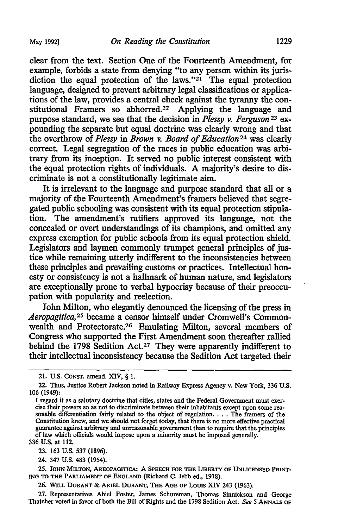clear from the text. Section One of the Fourteenth Amendment, for example, forbids a state from denying "to any person within its jurisdiction the equal protection of the laws."<sup>21</sup> The equal protection language, designed to prevent arbitrary legal classifications or applications of the law, provides a central check against the tyranny the constitutional Framers so abhorred.22 Applying the language and purpose standard, we see that the decision in *Plessy v. Ferguson* 23 expounding the separate but equal doctrine was clearly wrong and that the overthrow of *Plessy* in *Brown v. Board of Education* 24 was clearly correct. Legal segregation of the races in public education was arbitrary from its inception. It served no public interest consistent with the equal protection rights of individuals. A majority's desire to discriminate is not a constitutionally legitimate aim.

It is irrelevant to the language and purpose standard that all or a majority of the Fourteenth Amendment's framers believed that segregated public schooling was consistent with its equal protection stipulation. The amendment's ratifiers approved its language, not the concealed or overt understandings of its champions, and omitted any express exemption for public schools from its equal protection shield. Legislators and laymen commonly trumpet general principles of justice while remaining utterly indifferent to the inconsistencies between these principles and prevailing customs or practices. Intellectual honesty or consistency is not a hallmark of human nature, and legislators are exceptionally prone to verbal hypocrisy because of their preoccupation with popularity and reelection.

John Milton, who elegantly denounced the licensing of the press in *Aeropagitica,* 25 became a censor himself under Cromwell's Commonwealth and Protectorate.26 Emulating Milton, several members of Congress who supported the First Amendment soon thereafter rallied behind the 1798 Sedition Act.<sup>27</sup> They were apparently indifferent to their intellectual inconsistency because the Sedition Act targeted their

336 U.S. at 112.

24. 347 U.S. 483 (1954).

25. JOHN MILTON, AREOPAGITICA: A SPEECH FOR THE LIBERTY OF UNLICENSED PRINT-ING TO THE PARLIAMENT OF ENGLAND (Richard c. Jebb ed., 1918).

26. WILL DURANT & ARIEL DURANT, THE AGE OF Louis XIV 243 (1963).

27. Representatives Abie! Foster, James Schureman, Thomas Sinnickson and George Thatcher voted in favor of both the Bill of Rights and the 1798 Sedition Act. *See 5* ANNALS OF

<sup>21.</sup> U.S. CoNsr. amend. XIV,§ 1.

<sup>22.</sup> Thus, Justice Robert Jackson noted in Railway Express Agency v. New York, 336 U.S. 106 (1949):

I regard it as a salutary doctrine that cities, states and the Federal Government must exercise their powers so as not to discriminate between their inhabitants except upon some reasonable differentiation fairly related to the object of regulation. . . . The framers of the Constitution knew, and we should not forget today, that there is no more effective practical guarantee against arbitrary and unreasonable government than to require that the principles of law which officials would impose upon a minority must be imposed generally.

<sup>23. 163</sup> U.S. 537 (1896).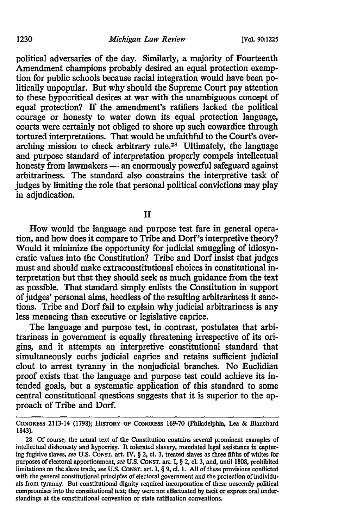### 1230 *Michigan Law Review* (Vol. 90:1225

political adversaries of the day. Similarly, a majority of Fourteenth Amendment champions probably desired an equal protection exemption for public schools because racial integration would have been politically unpopular. But why should the Supreme Court pay attention to these hypocritical desires at war with the unambiguous concept of equal protection? If the amendment's ratifiers lacked the political courage or honesty to water down its equal protection language, courts were certainly not obliged to shore up such cowardice through tortured interpretations. That would be unfaithful to the Court's overarching mission to check arbitrary rule.28 Ultimately, the language and purpose standard of interpretation properly compels intellectual honesty from lawmakers - an enormously powerful safeguard against arbitrariness. The standard also constrains the interpretive task of judges by limiting the role that personal political convictions may play in adjudication.

II

How would the language and purpose test fare in general operation, and how does it compare to Tribe and Dorf's interpretive theory? Would it minimize the opportunity for judicial smuggling of idiosyncratic values into the Constitution? Tribe and Dorf insist that judges must and should make extraconstitutional choices in constitutional interpretation but that they should seek as much guidance from the text as possible. That standard simply enlists the Constitution in support of judges' personal aims, heedless of the resulting arbitrariness it sanctions. Tribe and Dorf fail to explain why judicial arbitrariness is any less menacing than executive or legislative caprice.

The language and purpose test, in contrast, postulates that arbitrariness in government is equally threatening irrespective of its origins, and it attempts an interpretive constitutional standard that simultaneously curbs judicial caprice and retains sufficient judicial clout to arrest tyranny in the nonjudicial branches. No Euclidian proof exists that the language and purpose test could achieve its intended goals, but a systematic application of this standard to some central constitutional questions suggests that it is superior to the approach of Tribe and Dorf.

CONGRESS 2113-14 (1798); HI5TORY OF CoNGRESS 169-70 (Philadelphia, Lea & Blanchard 1843).

<sup>28.</sup> Of course, the actual text of the Constitution contains several prominent examples of intellectual dishonesty and hypocrisy. It tolerated slavery, mandated legal assistance in capturing fugitive slaves, *see* U.S. CONST. art. IV, § 2, cl. 3, treated slaves as three fifths of whites for purposes of electoral apportionment, *see* U.S. CONST. art. I, § 2, cl. 3, and, until 1808, prohibited limitations on the slave trade, *see U.S. Const.* art. I, § 9, cl. 1. All of these provisions conflicted with the general constitutional principles of electoral government and the protection of individuals from tyranny. But constitutional dignity required incorporation of these unseemly political compromises into the constitutional text; they were not effectuated by tacit or express oral understandings at the constitutional convention or state ratification conventions.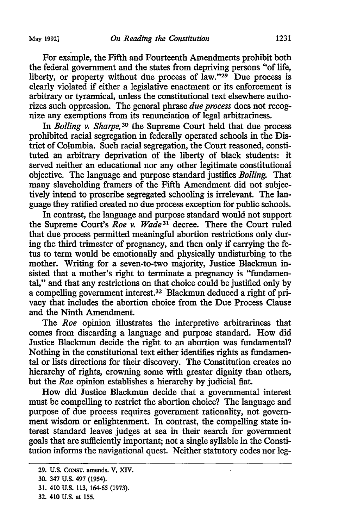For example, the Fifth and Fourteenth Amendments prohibit both the federal government and the states from depriving persons "of life, liberty, or property without due process of law."<sup>29</sup> Due process is clearly violated if either a legislative enactment or its enforcement is arbitrary or tyrannical, unless the constitutional text elsewhere authorizes such oppression. The general phrase *due process* does not recognize any exemptions from its renunciation of legal arbitrariness.

In *Bolling v. Sharpe,* 30 the Supreme Court held that due process prohibited racial segregation in federally operated schools in the District of Columbia. Such racial segregation, the Court reasoned, constituted an arbitrary deprivation of the liberty of black students: it served neither an educational nor any other legitimate constitutional objective. The language and purpose standard justifies *Bolling.* That many slaveholding framers of the Fifth Amendment did not subjectively intend to proscribe segregated schooling is irrelevant. The language they ratified created no due process exception for public schools.

In contrast, the language and purpose standard would not support the Supreme Court's *Roe v. Wade*<sup>31</sup> decree. There the Court ruled that due process permitted meaningful abortion restrictions only during the third trimester of pregnancy, and then only if carrying the fetus to term would be emotionally and physically undisturbing to the mother. Writing for a seven-to-two majority, Justice Blackmun insisted that a mother's right to terminate a pregnancy is "fundamental," and that any restrictions on that choice could be justified only by a compelling government interest.<sup>32</sup> Blackmun deduced a right of privacy that includes the abortion choice from the Due Process Clause and the Ninth Amendment.

The *Roe* opinion illustrates the interpretive arbitrariness that comes from discarding a language and purpose standard. How did Justice Blackmun decide the right to an abortion was fundamental? Nothing in the constitutional text either identifies rights as fundamental or lists directions for their discovery. The Constitution creates no hierarchy of rights, crowning some with greater dignity than others, but the *Roe* opinion establishes a hierarchy by judicial fiat.

How did Justice Blackmun decide that a governmental interest must be compelling to restrict the abortion choice? The language and purpose of due process requires government rationality, not government wisdom or enlightenment. In contrast, the compelling state interest standard leaves judges at sea in their search for government goals that are sufficiently important; not a single syllable in the Constitution informs the navigational quest. Neither statutory codes nor leg-

<sup>29.</sup> U.S. CoNST. amends. V, XIV.

<sup>30. 347</sup> U.S. 497 (1954).

<sup>31. 410</sup> U.S. 113, 164-65 (1973).

<sup>32. 410</sup> U.S. at 155.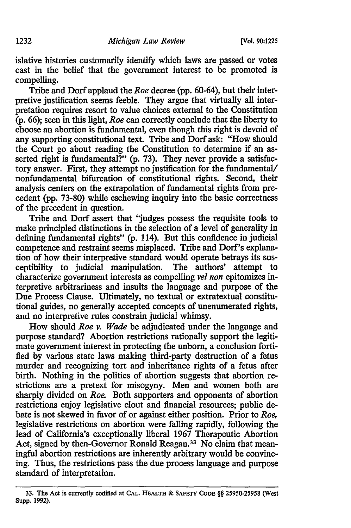islative histories customarily identify which laws are passed or votes cast in the belief that the government interest to be promoted is compelling.

Tribe and Dorf applaud the *Roe* decree (pp. 60-64), but their interpretive justification seems feeble. They argue that virtually all interpretation requires resort to value choices external to the Constitution (p. 66); seen in this light, *Roe* can correctly conclude that the liberty to choose an abortion is fundamental, even though this right is devoid of any supporting constitutional text. Tribe and Dorf ask: "How should the Court go about reading the Constitution to determine if an asserted right is fundamental?" (p. 73). They never provide a satisfactory answer. First, they attempt no justification for the fundamental/ nonfundamental bifurcation of constitutional rights. Second, their analysis centers on the extrapolation of fundamental rights from precedent (pp. 73-80) while eschewing inquiry into the basic correctness of the precedent in question.

Tribe and Dorf assert that ''judges possess the requisite tools to make principled distinctions in the selection of a level of generality in defining fundamental rights" (p. 114). But this confidence in judicial competence and restraint seems misplaced. Tribe and Dorf 's explanation of how their interpretive standard would operate betrays its sus-<br>ceptibility to judicial manipulation. The authors' attempt to  $c$ eptibility to judicial manipulation. characterize government interests as compelling *vel non* epitomizes interpretive arbitrariness and insults the language and purpose of the Due Process Clause. Ultimately, no textual or extratextual constitutional guides, no generally accepted concepts of unenumerated rights, and no interpretive rules constrain judicial whimsy.

How should *Roe v. Wade* be adjudicated under the language and purpose standard? Abortion restrictions rationally support the legitimate government interest in protecting the unborn, a conclusion fortified by various state laws making third-party destruction of a fetus murder and recognizing tort and inheritance rights of a fetus after birth. Nothing in the politics of abortion suggests that abortion restrictions are a pretext for misogyny. Men and women both are sharply divided on *Roe.* Both supporters and opponents of abortion restrictions enjoy legislative clout and financial resources; public debate is not skewed in favor of or against either position. Prior to *Roe,*  legislative restrictions on abortion were falling rapidly, following the lead of California's exceptionally liberal 1967 Therapeutic Abortion Act, signed by then-Governor Ronald Reagan.<sup>33</sup> No claim that meaningful abortion restrictions are inherently arbitrary would be convincing. Thus, the restrictions pass the due process language and purpose standard of interpretation.

<sup>33.</sup> The Act is currently codified at CAL. HEALTH & SAFETY CoDE §§ 25950-25958 (West Supp. 1992).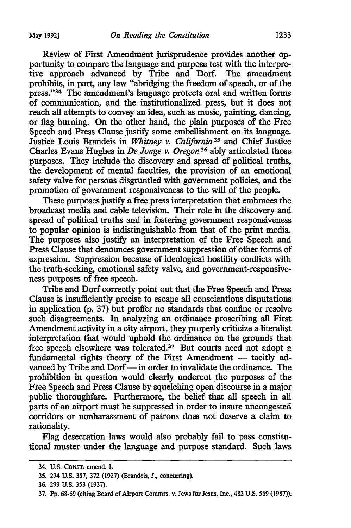Review of First Amendment jurisprudence provides another opportunity to compare the language and purpose test with the interpretive approach advanced by Tribe and Dorf. The amendment prohibits, in part, any law "abridging the freedom of speech, or of the press."34 The amendment's language protects oral and written forms of communication, and the institutionalized press, but it does not reach all attempts to convey an idea, such as music, painting, dancing, or flag burning. On the other hand, the plain purposes of the Free Speech and Press Clause justify some embellishment on its language. Justice Louis Brandeis in *Whitney v. California <sup>35</sup>*and Chief Justice Charles Evans Hughes in *De Jonge v. Oregon* 36 ably articulated those purposes. They include the discovery and spread of political truths, the development of mental faculties, the provision of an emotional safety valve for persons disgruntled with government policies, and the promotion of government responsiveness to the will of the people.

These purposes justify a free press interpretation that embraces the broadcast media and cable television. Their role in the discovery and spread of political truths and in fostering government responsiveness to popular opinion is indistinguishable from that of the print media. The purposes also justify an interpretation of the Free Speech and Press Clause that denounces government suppression of other forms of expression. Suppression because of ideological hostility conflicts with the truth-seeking, emotional safety valve, and government-responsiveness purposes of free speech.

Tribe and Dorf correctly point out that the Free Speech and Press Clause is insufficiently precise to escape all conscientious disputations in application {p. 37) but proffer no standards that confine or resolve such disagreements. In analyzing an ordinance proscribing all First Amendment activity in a city airport, they properly criticize a literalist interpretation that would uphold the ordinance on the grounds that free speech elsewhere was tolerated.<sup>37</sup> But courts need not adopt a fundamental rights theory of the First Amendment - tacitly advanced by Tribe and Dorf $\frac{1}{x}$  in order to invalidate the ordinance. The prohibition in question would clearly undercut \_the purposes of the Free Speech and Press Clause by squelching open discourse in a major public thoroughfare. Furthermore, the belief that all speech in all parts of an airport must be suppressed in order to insure uncongested corridors or nonharassment of patrons does not deserve a claim to rationality.

Flag desecration laws would also probably fail to pass constitutional muster under the language and purpose standard. Such laws

<sup>34.</sup> U.S. CoNsr. amend. I.

<sup>35. 274</sup> U.S. 357, 372 (1927) (Brandeis, J., concurring).

<sup>36. 299</sup> U.S. 353 (1937).

<sup>37.</sup> Pp. 68-69 (citing Board of Airport Commrs. v. Jews for Jesus, Inc., 482 U.S. 569 (1987)).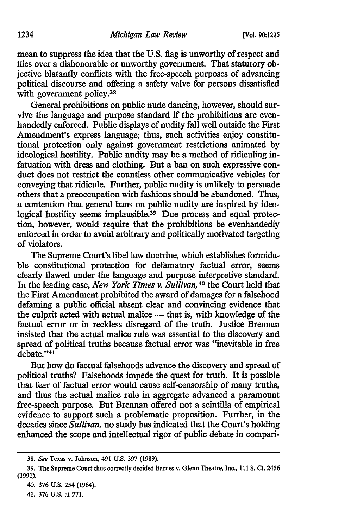mean to suppress the idea that the U.S. flag is unworthy of respect and flies over a dishonorable or unworthy government. That statutory objective blatantly conflicts with the free-speech purposes of advancing political discourse and offering a safety valve for persons dissatisfied with government policy.<sup>38</sup>

General prohibitions on public nude dancing, however, should survive the language and purpose standard if the prohibitions are evenhandedly enforced. Public displays of nudity fall well outside the First Amendment's express language; thus, such activities enjoy constitutional protection only against government restrictions animated by ideological hostility. Public nudity may be a method of ridiculing infatuation with dress and clothing. But a ban on such expressive conduct does not restrict the countless other communicative vehicles for conveying that ridicule. Further, public nudity is unlikely to persuade others that a preoccupation with fashions should be abandoned. Thus, a contention that general bans on public nudity are inspired by ideological hostility seems implausible.<sup>39</sup> Due process and equal protection, however, would require that the prohibitions be evenhandedly enforced in order to avoid arbitrary and politically motivated targeting of violators.

The Supreme Court's libel law doctrine, which establishes formidable constitutional protection for defamatory factual error, seems clearly flawed under the language and purpose interpretive standard. In the leading case, *New York Times v. Sullivan,* 40 the Court held that the First Amendment prohibited the award of damages for a falsehood defaming a public official absent clear and convincing evidence that the culprit acted with actual malice - that is, with knowledge of the factual error or in reckless disregard of the truth. Justice Brennan insisted that the actual malice rule was essential to the discovery and spread of political truths because factual error was "inevitable in free debate."<sup>41</sup>

But how do factual falsehoods advance the discovery and spread of political truths? Falsehoods impede the quest for truth. It is possible that fear of factual error would cause self-censorship of many truths, and thus the actual malice rule in aggregate advanced a paramount free-speech purpose. But Brennan offered not a scintilla of empirical evidence to support such a problematic proposition. Further, in the decades since *Sullivan,* no study has indicated that the Court's holding enhanced the scope and intellectual rigor of public debate in compari-

<sup>38.</sup> *See* Texas v. Johnson, 491 U.S. 397 (1989).

<sup>39.</sup> The Supreme Court thus correctly decided Barnes v. Glenn Theatre, Inc., 111 S. Ct. 2456 (1991).

<sup>40. 376</sup> U.S. 254 (1964).

<sup>41. 376</sup> U.S. at 271.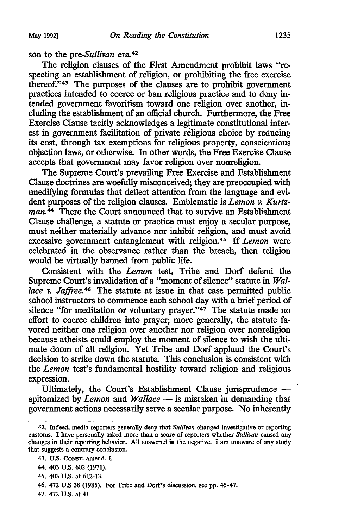son to the *pre-Sullivan* era.<sup>42</sup>

The religion clauses of the First Amendment prohibit laws "respecting an establishment of religion, or prohibiting the free exercise thereof."43 The purposes of the clauses are to prohibit government practices intended to coerce or ban religious practice and to deny intended government favoritism toward one religion over another, including the establishment of an official church. Furthermore, the Free Exercise Clause tacitly acknowledges a legitimate constitutional interest in government facilitation of private religious choice by reducing its cost, through tax exemptions for religious property, conscientious objection laws, or otherwise. In other words, the Free Exercise Clause accepts that government may favor religion over nonreligion.

The Supreme Court's prevailing Free Exercise and Establishment Clause doctrines are woefully misconceived; they are preoccupied with unedifying formulas that deflect attention from the language and evident purposes of the religion clauses. Emblematic is *Lemon v. Kurtzman.*<sup>44</sup> There the Court announced that to survive an Establishment Clause challenge, a statute or practice must enjoy a secular purpose, must neither materially advance nor inhibit religion, and must avoid excessive government entanglement with religion.45 If *Lemon* were celebrated in the observance rather than the breach, then religion would be virtually banned from public life.

Consistent with the *Lemon* test, Tribe and Dorf defend the Supreme Court's invalidation of a "moment of silence" statute in *Wallace v. Jaffree.*<sup>46</sup> The statute at issue in that case permitted public school instructors to commence each school day with a brief period of silence "for meditation or voluntary prayer." $47$  The statute made no effort to coerce children into prayer; more generally, the statute favored neither one religion over another nor religion over nonreligion because atheists could employ the moment of silence to wish the ultimate doom of all religion. Yet Tribe and Dorf applaud the Court's decision to strike down the statute. This conclusion is consistent with the *Lemon* test's fundamental hostility toward religion and religious expression.

Ultimately, the Court's Establishment Clause jurisprudence epitomized by *Lemon* and *Wallace* — is mistaken in demanding that government actions necessarily serve a secular purpose. No inherently

47. 472 U.S. at 41.

<sup>42.</sup> Indeed, media reporters generally deny that *Sullivan* changed investigative or reporting customs. I have personally asked more than a score of reporters whether *Sullivan* caused any changes in their reporting behavior. All answered in the negative. I am unaware of any study that suggests a contrary conclusion.

<sup>43.</sup> U.S. CoNST. amend. I.

<sup>44. 403</sup> U.S. 602 (1971).

<sup>45. 403</sup> U.S. at 612-13.

<sup>46. 472</sup> U.S 38 (1985). For Tribe and Dorf's discussion, see pp. 45-47.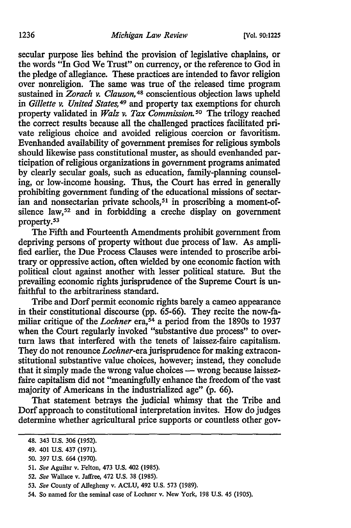secular purpose lies behind the provision of legislative chaplains, or the words "In God We Trust" on currency, or the reference to God in the pledge of allegiance. These practices are intended to favor religion over nonreligion. The same was true of the released time program sustained in *Zorach v. Clauson,* 48 conscientious objection laws upheld in *Gillette v. United States,* 49 and property tax exemptions for church property validated in *Walz v. Tax Commission. so* The trilogy reached the correct results because all the challenged practices facilitated private religious choice and avoided religious coercion or favoritism. Evenhanded availability of government premises for religious symbols should likewise pass constitutional muster, as should evenhanded participation of religious organizations in government programs animated by clearly secular goals, such as education, family-planning counseling, or low-income housing. Thus, the Court has erred in generally prohibiting government funding of the educational missions of sectarian and nonsectarian private schools,<sup>51</sup> in proscribing a moment-ofsilence law,  $52$  and in forbidding a creche display on government property.<sup>53</sup>

The Fifth and Fourteenth Amendments prohibit government from depriving persons of property without due process of law. As amplified earlier, the Due Process Clauses were intended to proscribe arbitrary or oppressive action, often wielded by one economic faction with political clout against another with lesser political stature. But the prevailing economic rights jurisprudence of the Supreme Court is unfaithful to the arbitrariness standard.

Tribe and Dorf permit economic rights barely a cameo appearance in their constitutional discourse (pp. 65-66). They recite the now-familiar critique of the *Lochner* era,<sup>54</sup> a period from the 1890s to 1937 when the Court regularly invoked "substantive due process" to overturn laws that interfered with the tenets of laissez-faire capitalism. They do not renounce *Lochner-era* jurisprudence for making extraconstitutional substantive value choices, however; instead, they conclude that it simply made the wrong value choices - wrong because laissezfaire capitalism did not "meaningfully enhance the freedom of the vast majority of Americans in the industrialized age" (p. 66).

That statement betrays the judicial whimsy that the Tribe and Dorf approach to constitutional interpretation invites. How do judges determine whether agricultural price supports or countless other gov-

- 51. *See* Aguilar v. Felton, 473 U.S. 402 (1985).
- 52. *See* Wallace v. Jaffree, 472 U.S. 38 (1985).
- 53. *See* County of Allegheny v. ACLU, 492 U.S. 573 (1989).
- 54. So named for the seminal case of Lochner v. New York, 198 U.S. 45 (1905).

<sup>48. 343</sup> U.S. 306 (1952).

<sup>49. 401</sup> U.S. 437 (1971).

SO. 397 U.S. 664 (1970).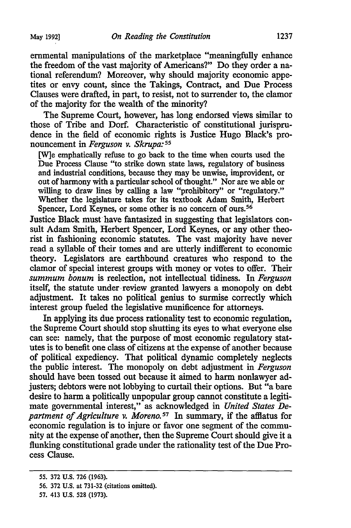emmental manipulations of the marketplace "meaningfully enhance the freedom of the vast majority of Americans?" Do they order a national referendum? Moreover, why should majority economic appetites or envy count, since the Takings, Contract, and Due Process Clauses were drafted, in part, to resist, not to surrender to, the clamor of the majority for the wealth of the minority?

The Supreme Court, however, has long endorsed views similar to those of Tribe and Dorf. Characteristic of constitutional jurisprudence in the field of economic rights is Justice Hugo Black's pronouncement in *Ferguson v. Skrupa: <sup>55</sup>*

[W]e emphatically refuse to go back to the time when courts used the Due Process Clause "to strike down state laws, regulatory of business and industrial conditions, because they may be unwise, improvident, or out of harmony with a particular school of thought." Nor are we able or willing to draw lines by calling a law "prohibitory" or "regulatory." Whether the legislature takes for its textbook Adam Smith, Herbert Spencer, Lord Keynes, or some other is no concern of ours.<sup>56</sup>

Justice Black must have fantasized in suggesting that legislators consult Adam Smith, Herbert Spencer, Lord Keynes, or any other theorist in fashioning economic statutes. The vast majority have never read a syllable of their tomes and are utterly indifferent to economic theory. Legislators are earthbound creatures who respond to the clamor of special interest groups with money or votes to offer. Their *summum bonum* is reelection, not intellectual tidiness. In *Ferguson*  itself, the statute under review granted lawyers a monopoly on debt adjustment. It takes no political genius to surmise correctly which interest group fueled the legislative munificence for attorneys.

In applying its due process rationality test to economic regulation, the Supreme Court should stop shutting its eyes to what everyone else can see: namely, that the purpose of most economic regulatory statutes is to benefit one class of citizens at the expense of another because of political expediency. That political dynamic completely neglects the public interest. The monopoly on debt adjustment in *Ferguson*  should have been tossed out because it aimed to harm nonlawyer adjusters; debtors were not lobbying to curtail their options. But "a bare" desire to harm a politically unpopular group cannot constitute a legitimate governmental interest," as acknowledged in *United States Department of Agriculture v. Moreno.* 57 In summary, if the affiatus for economic regulation is to injure or favor one segment of the community at the expense of another, then the Supreme Court should give it a flunking constitutional grade under the rationality test of the Due Process Clause.

<sup>55. 372</sup> U.S. 726 (1963).

<sup>56. 372</sup> U.S. at 731-32 (citations omitted).

<sup>57. 413</sup> U.S. 528 (1973).